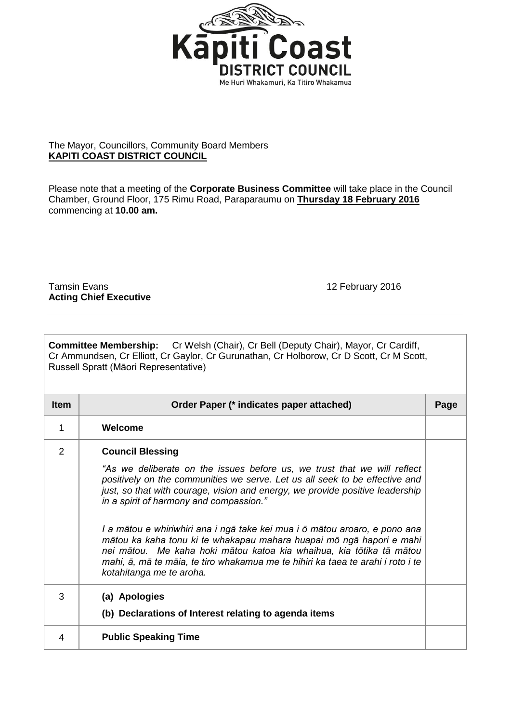

## The Mayor, Councillors, Community Board Members **KAPITI COAST DISTRICT COUNCIL**

Please note that a meeting of the **Corporate Business Committee** will take place in the Council Chamber, Ground Floor, 175 Rimu Road, Paraparaumu on **Thursday 18 February 2016**  commencing at **10.00 am.**

Tamsin Evans 12 February 2016 **Acting Chief Executive**

**Committee Membership:** Cr Welsh (Chair), Cr Bell (Deputy Chair), Mayor, Cr Cardiff, Cr Ammundsen, Cr Elliott, Cr Gaylor, Cr Gurunathan, Cr Holborow, Cr D Scott, Cr M Scott, Russell Spratt (Māori Representative)

| <b>Item</b>   | Order Paper (* indicates paper attached)                                                                                                                                                                                                                                                                                                                                                                                                                                                                                                                                                                                                                    | Page |
|---------------|-------------------------------------------------------------------------------------------------------------------------------------------------------------------------------------------------------------------------------------------------------------------------------------------------------------------------------------------------------------------------------------------------------------------------------------------------------------------------------------------------------------------------------------------------------------------------------------------------------------------------------------------------------------|------|
| 1             | Welcome                                                                                                                                                                                                                                                                                                                                                                                                                                                                                                                                                                                                                                                     |      |
| $\mathcal{P}$ | <b>Council Blessing</b><br>"As we deliberate on the issues before us, we trust that we will reflect<br>positively on the communities we serve. Let us all seek to be effective and<br>just, so that with courage, vision and energy, we provide positive leadership<br>in a spirit of harmony and compassion."<br>I a mātou e whiriwhiri ana i ngā take kei mua i ō mātou aroaro, e pono ana<br>mātou ka kaha tonu ki te whakapau mahara huapai mō ngā hapori e mahi<br>nei mātou. Me kaha hoki mātou katoa kia whaihua, kia tōtika tā mātou<br>mahi, ā, mā te māia, te tiro whakamua me te hihiri ka taea te arahi i roto i te<br>kotahitanga me te aroha. |      |
| 3             | (a) Apologies<br>(b) Declarations of Interest relating to agenda items                                                                                                                                                                                                                                                                                                                                                                                                                                                                                                                                                                                      |      |
| 4             | <b>Public Speaking Time</b>                                                                                                                                                                                                                                                                                                                                                                                                                                                                                                                                                                                                                                 |      |